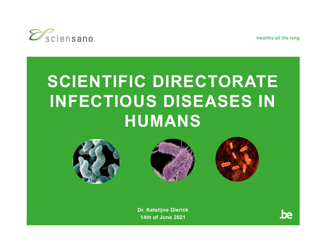

healthy all life long

# **SCIENTIFIC DIRECTORATE INFECTIOUS DISEASES IN HUMANS**







**Dr. Katelijne Dierick 14th of June 2021**

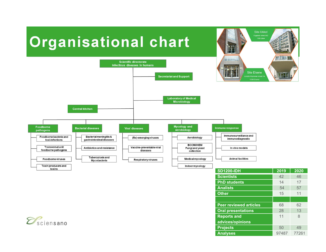# **Organisational chart**



**Other**

**Reports and advices/opinions**

15 11

**Site Ukkel** 1180 Ukkel

11 8

**Peer reviewed articles** 68 62 **Oral presentations** 28 13

**Projects** 50 49 **Analyses** 97487 77261

 $\mathcal{D}_\text{sciensano}$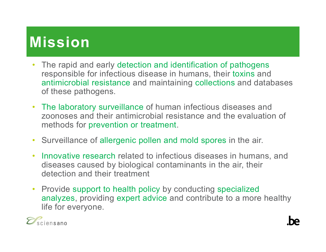# **Mission**

- $\bullet$  The rapid and early detection and identification of pathogens responsible for infectious disease in humans, their toxins and antimicrobial resistance and maintaining collections and databases of these pathogens.
- The laboratory surveillance of human infectious diseases and zoonoses and their antimicrobial resistance and the evaluation of methods for prevention or treatment.
- •Surveillance of allergenic pollen and mold spores in the air.
- $\bullet$  Innovative research related to infectious diseases in humans, and diseases caused by biological contaminants in the air, their detection and their treatment
- Provide support to health policy by conducting specialized analyzes, providing expert advice and contribute to a more healthy life for everyone.

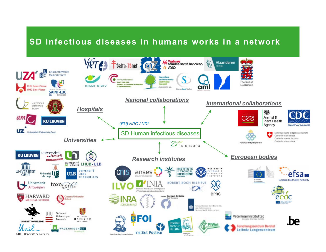## **SD Infectious diseases in humans works in a network**

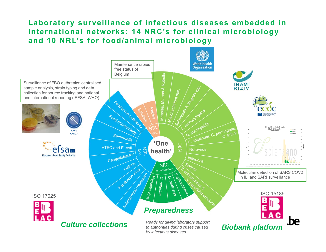## **Laboratory surveillance of infectious diseases embedded in international networks: 14 NRC's for clinical microbiology and 10 NRL's for food/animal microbiology**

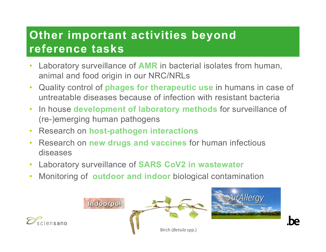## **Other important activities beyond reference tasks**

- • Laboratory surveillance of **AMR** in bacterial isolates from human, animal and food origin in our NRC/NRLs
- • Quality control of **phages for therapeutic use** in humans in case of untreatable diseases because of infection with resistant bacteria
- $\bullet$  In house **development of laboratory methods** for surveillance of (re-)emerging human pathogens
- •Research on **host-pathogen interactions**
- • Research on **new drugs and vaccines** for human infectious diseases
- $\bullet$ Laboratory surveillance of **SARS CoV2 in wastewater**
- •Monitoring of **outdoor and indoor** biological contamination

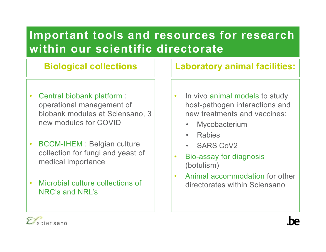## **Important tools and resources for research within our scientific directorate**

- $\bullet$  Central biobank platform : operational management of biobank modules at Sciensano, 3 new modules for COVID
- •• BCCM-IHEM : Belgian culture collection for fungi and yeast of medical importance
- • Microbial culture collections of NRC's and NRL's

## **Biological collections Laboratory animal facilities:**

- $\bullet$ • In vivo animal models to study host-pathogen interactions and new treatments and vaccines:
	- •Mycobacterium
	- Rabies
	- SARS CoV2
- • Bio-assay for diagnosis (botulism)
- • Animal accommodation for other directorates within Sciensano